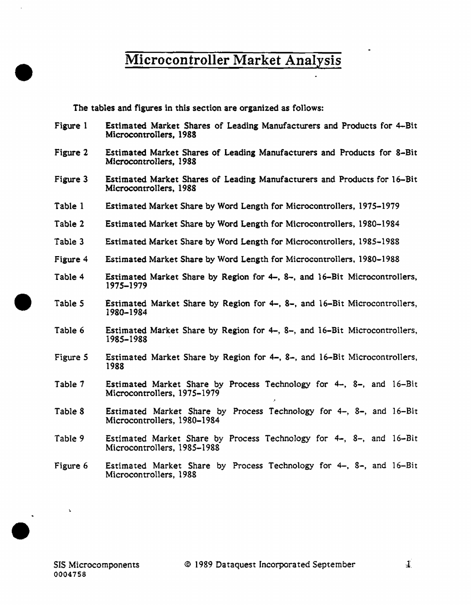The tables and figures in this section are organized as follows:

- Figure 1 Estimated Market Shares of Leading Manufacturers and Products for 4-Bit Microcontrollers, 1988
- Figure 2 Estimated Market Shares of Leading Manufacturers and Products for 8-Bit Microcontrollers, 1988
- Figure 3 Estimated Market Shares of Leading Manufacturers and Products for 16-Bit Microcontrollers, 1988
- Table 1 Estimated Market Share by Word Length for Microcontrollers, 1975-1979
- Table 2 Estimated Market Share by Word Length for Microcontrollers, 1980-1984
- Table 3 Estimated Market Share by Word Length for Microcontrollers, 1985-1988
- Figure 4 Estimated Market Share by Word Length for Microcontrollers, 1980-1988
- Table 4 Estimated Market Share by Region for 4-, 8-, and 16-Bit Microcontrollers, 1975-1979
- Table *5*  Estimated Market Share by Region for  $4-$ ,  $8-$ , and  $16-Bi$ t Microcontrollers, 1980-1984
- Table 6 Estimated Market Share by Region for 4-, 8-, and 16-Bit Microcontrollers, 1985-1988 '
- Figure *S*  Estimated Market Share by Region for 4-, 8-, and 16-Bit Microcontrotlers, 1988
- Table 7 Estimated Market Share by Process Technology for  $4-$ ,  $8-$ , and  $16-Bit$ Microcontrollers, 1975–1979
- Table 8 Estimated Market Share by Process Techno1ogy for 4-, 8-, and 16-Bit Microcontrollers, 1980-1984
- Table 9 Estimated Market Share by Process Technology for 4-, 8-, and 16-Bit Microcontro11ers, 1985-1988
- Figure 6 Estimated Market Share by Process Technology for 4-, 8-, and 16-Bit Microcontrollers, 1988

À.

•

•

•

 $\perp$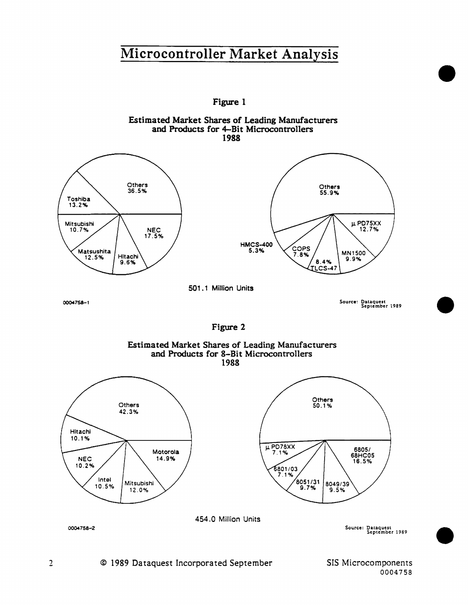

SIS Microcomponents 0004758

•

•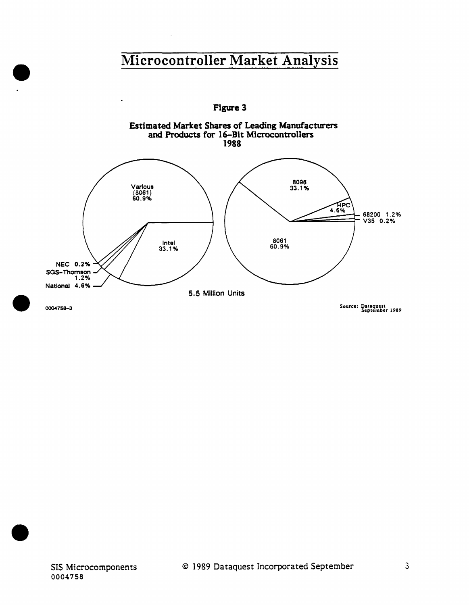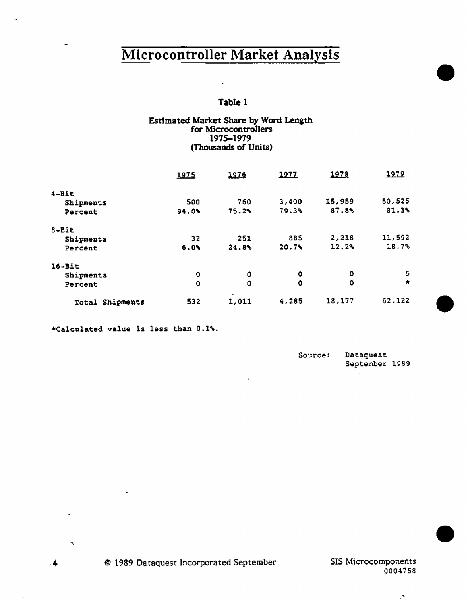## Table 1

### Estimated Market Share by Word Length for Microcontrollers 1975-1979 (Thousands of Units)

|                    | 1975        | 1976       | 1977        | 1978   | 1979    |
|--------------------|-------------|------------|-------------|--------|---------|
| $4 - Bit$          |             |            |             |        |         |
| Shipments          | 500         | 760        | 3,400       | 15,959 | 50,525  |
| Percent            | 94.0%       | 75.2%      | 79.3%       | 87.8%  | 81.3%   |
| $8-Bi$ t           |             |            |             |        |         |
| Shipments          | 32          | 251        | 885         | 2,218  | 11,592  |
| Percent            | 6.0%        | 24.8%      | 20.7%       | 12.2%  | 18.7%   |
| $16 - Bit$         |             |            |             |        |         |
| Shipments          | Q           | 0          | 0           | ٥      | 5       |
| Percent            | $\mathbf 0$ | 0          | $\mathbf 0$ | 0      | $\star$ |
| Shipments<br>Total | 532         | ٠<br>1,011 | 4,285       | 18,177 | 62,122  |

\*Calculated value is less than 0.1'\,

| Source: | Dataquest      |  |
|---------|----------------|--|
|         | September 1989 |  |

•

•

•

 $\mathcal{P}_\mathrm{L}$ 

 $\cdot$ <sup>4</sup>

÷.

 $\alpha$ 

 $\ddot{\phantom{0}}$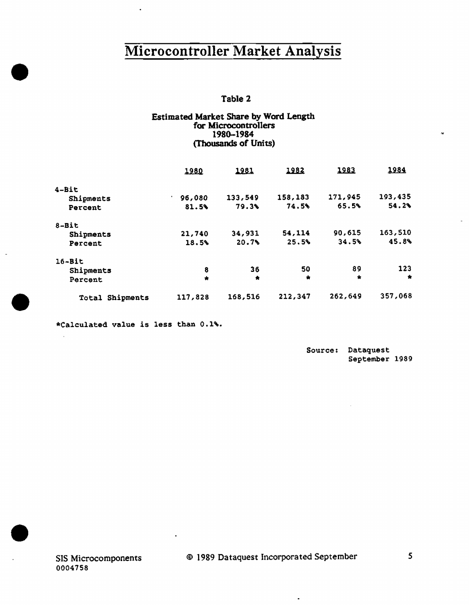## Table 2

### Estimated Market Share by Word Length for Microcontro11ers 1980-1984 (Thousands of Units)

|                    | 1980                     | 1981      | 1982    | 1983    | 1984      |
|--------------------|--------------------------|-----------|---------|---------|-----------|
| 4-Bit              |                          |           |         |         |           |
| Shipments          | 96,080<br>$\blacksquare$ | 133,549   | 158,183 | 171,945 | 193,435   |
| Percent            | 81.5%                    | 79.3%     | 74.5%   | 65.5%   | 54.2%     |
| $8 - Bit$          |                          |           |         |         |           |
| Shipments          | 21,740                   | 34,931    | 54,114  | 90,615  | 163,510   |
| Percent            | 18.5%                    | 20.7%     | 25.5%   | 34.5%   | 45.8%     |
| $16 - Bit$         |                          |           |         |         |           |
| Shipments          | 8                        | 36        | 50      | 89      | 123       |
| Percent            | $\bullet$                | $\bullet$ | 靑       | $\star$ | $\bullet$ |
| Shipments<br>Total | 117,828                  | 168,516   | 212,347 | 262,649 | 357,068   |

\*Calculated value is less than 0.1%.

ä,

•

•

 $\mathbf{r}$ 

 $\overline{a}$ 

•

Source; Dataquest September 1989

 $\blacksquare$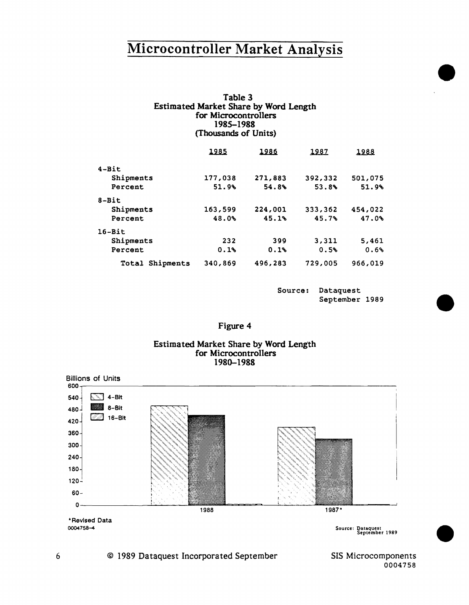| Table 3                                      |
|----------------------------------------------|
| <b>Estimated Market Share by Word Length</b> |
| for Microcontrollers                         |
| 1985–1988                                    |
| (Thousands of Units)                         |

|                    | 1985    | 1986    | 1987    | 1988    |
|--------------------|---------|---------|---------|---------|
| $4 - Bit$          |         |         |         |         |
| Shipments          | 177,038 | 271,883 | 392,332 | 501,075 |
| Percent            | 51.9%   | 54.8%   | 53.8%   | 51.9%   |
| $8 - Bit$          |         |         |         |         |
| Shipments          | 163,599 | 224,001 | 333,362 | 454,022 |
| Percent            | 48.0%   | 45.1%   | 45.7%   | 47.0%   |
| $16 - Bit$         |         |         |         |         |
| Shipments          | 232     | 399     | 3,311   | 5,461   |
| Percent            | 0.1%    | 0.1%    | 0.5%    | 0.6%    |
| Shipments<br>Total | 340,869 | 496,283 | 729,005 | 966,019 |

Source: Dataquest September 1989 •

•

•

| σ<br>חר |  |
|---------|--|
|---------|--|

### Estimated Market Share by Word Length for Microcontrollers 1980-1988



© 1989 Dataquest Incorporated September

SIS Microcomponents 0004758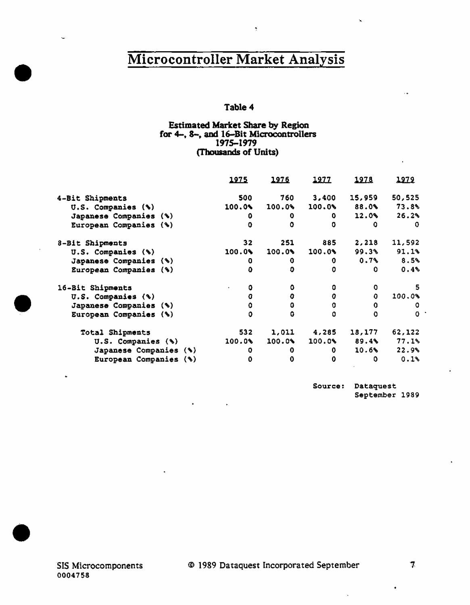Ķ

## Table 4

### Estimated Market Share by Region for 4-. 8-, and 16-Bit Microcontrollers 1975-1979 (Thousands of Units)

|                        | 1975     | 1976                  | 1977   | 1978         | 1979   |
|------------------------|----------|-----------------------|--------|--------------|--------|
| 4-Bit Shipments        | 500      | 760                   | 3,400  | 15,959       | 50,525 |
| U.S. Companies (%)     | 100.0%   | 100.09                | 100.0% | 88.0%        | 73.8%  |
| Japanese Companies (%) | 0        | 0                     | 0.     | 12.0%        | 26.2%  |
| European Companies (%) | $\Omega$ | ٥                     | ٥      | o            | 0      |
| 8-Bit Shipments        | 32.      | 251                   | 885    | 2,218        | 11,592 |
| U.S. Companies (%)     | 100.04   | $100.0$ <sup>\$</sup> | 100.09 | 99.3%        | 91.1%  |
| Japanese Companies (%) | 0        | 0                     | 0      | 0.7%         | 8.5%   |
| European Companies (%) | Ō        | O                     | o      | 0.           | 0.4%   |
| 16-Bit Shipments       | ٥        | ٥                     | ٥      | O            |        |
| U.S. Companies (%)     | O        | 0                     | 0      | $\mathbf{o}$ | 100.0% |
| Japanese Companies (%) | 0        | 0                     | 0      | $\mathbf 0$  | o      |
| European Companies (%) | ٥        | ٥                     | ۵      | Ω            | ο      |
| Total Shipments        | 532      | 1,011                 | 4,285  | 18,177       | 62,122 |
| U.S. Companies (%)     | 100.0%   | 100.0%                | 100.0% | 89.4%        | 77.1%  |
| Japanese Companies (%) | 0        | 0                     | 0      | 10.6%        | 22.9%  |
| European Companies (%) | 0        | 0                     | 0      | ٥            | 0.1%   |

Source: Dataquest September 1989

-~

•

•

•

 $\mathcal{F}$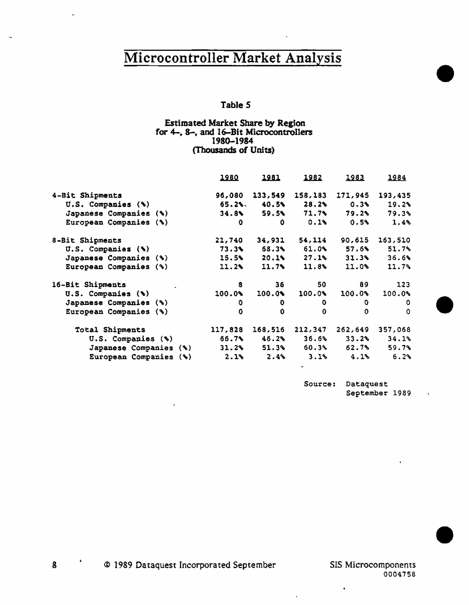## Table *5*

## Estimated Market Share by Region for 4-, 8-, and 16-Bit Microcontrollers 1980-1984 (Thousands of Units)

|                                  | <u> 1980 </u> | 1981    | 1982        | <u> 1983 </u> | 1984    |
|----------------------------------|---------------|---------|-------------|---------------|---------|
| 4-Bit Shipments                  | 96,080        | 133,549 | 158,183     | 171,945       | 193,435 |
| $U.S.$ Companies $(\mathcal{F})$ | $65.2$ %.     | 40.5%   | 28.2%       | 0.3%          | 19.2%   |
| Japanese Companies (%)           | 34.8%         | 59.5%   | 71.7%       | 79.2%         | 79.3%   |
| European Companies (%)           | 0             | 0.      | 0.1%        | 0.5%          | 1.4%    |
| 8-Bit Shipments                  | 21,740        | 34,931  | 54,114      | 90,615        | 163,510 |
| U.S. Companies (%)               | 73.3          | 68.3%   | 61.0%       | 57.6%         | 51.7%   |
| Japanese Companies (%)           | 15.5%         | 20.1%   | 27.1%       | 31.3%         | 36.6%   |
| European Companies (%)           | 11.2%         | 11.7    | 11.8        | 11.0%         | 11.7%   |
| 16-Bit Shipments                 | 8             | 36      | 50          | 89            | 123     |
| U.S. Companies (%)               | 100.0%        | 100.0   | 100.0%      | 100.0%        | 100.0%  |
| Japanese Companies (%)           | o             | o       | 0           | 0.            | 0       |
| European Companies (%)           | 0             | 0       | $\mathbf 0$ | $\Omega$      | 0       |
| Total Shipments                  | 117,828       | 168,516 | 212,347     | 262,649       | 357,068 |
| $U.S.$ Companies $(\mathcal{F})$ | 66.7%         | 46.2%   | 36.6%       | 33.2%         | 34.1%   |
| Japanese Companies (%)           | 31.2%         | 51.3%   | 60.3%       | 62.7%         | 59.7%   |
| European Companies (%)           | 2.1%          | 2.4%    | 3.1%        | 4.1%          | 6.2%    |

Source: Dataquest September 1989 •

•

•

 $\bullet$ 

© 1989 Dataquest Incorporated September

 $\bf{8}$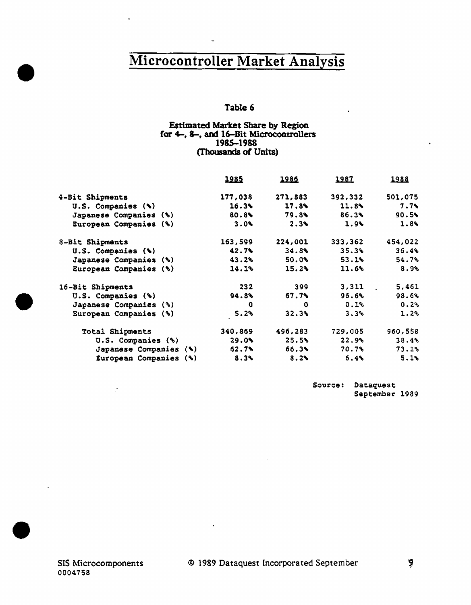## Table 6

### Estimated Market Share by Region for 4-, 8-, and 16-Bit Microcontrollers 1985-1988 (Thousands of Units)

|                        | <u> 1985 </u> | <u> 1986 </u> | <u> 1987.</u> | 1988    |
|------------------------|---------------|---------------|---------------|---------|
| 4-Bit Shipments        | 177,038       | 271,883       | 392,332       | 501,075 |
| U.S. Companies (%)     | 16.3%         | 17.8%         | 11.8%         | 7.7%    |
| Japanese Companies (%) | 80.8%         | 79.8%         | 86.3%         | 90.5%   |
| European Companies (%) | 3.0%          | 2.3%          | 1.9%          | 1.8%    |
| 8-Bit Shipments        | 163,599       | 224,001       | 333,362       | 454,022 |
| U.S. Companies (%)     | 42.7          | 34.8%         | 35.3%         | 36.4%   |
| Japanese Companies (%) | 43.2%         | 50.0%         | 53.1%         | 54.7%   |
| European Companies (%) | 14.1          | 15.2%         | 11.6%         | 8.9%    |
| 16-Bit Shipments       | 232           | 399           | 3,311         | 5,461   |
| U.S. Companies (%)     | $94.8\%$      | 57.7%         | 96.6%         | 98.6%   |
| Japanese Companies (%) | 0             | 0             | 0.1%          | 0.2%    |
| European Companies (%) | 5.2%          | 32.3%         | 3.3%          | 1.2%    |
| Total Shipments        | 340,869       | 496,283       | 729,005       | 960,558 |
| U.S. Companies $(*)$   | 29.0          | 25.5%         | 22.9          | 38.4%   |
| Japanese Companies (%) | <b>62.7%</b>  | 56.3%         | 70.7%         | 73.1%   |
| European Companies (%) | 8.3%          | 8.2%          | 6.4%          | 5.1%    |

Source: Dataquest September 1989

l.

•

•

•

 $\bar{\mathbf{r}}$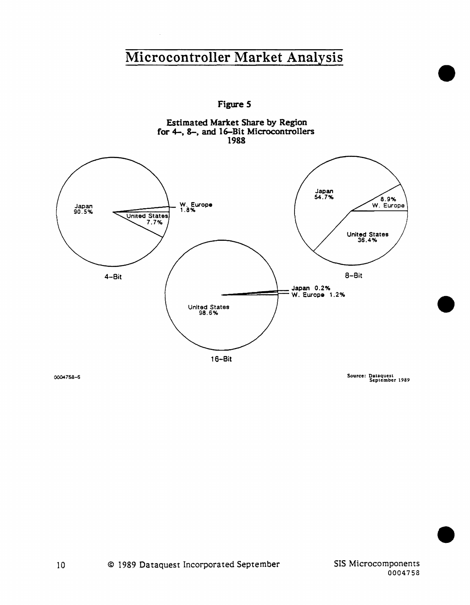Figure *S* 



0004758-5

Source: Dataquest<br>September 1989

•

•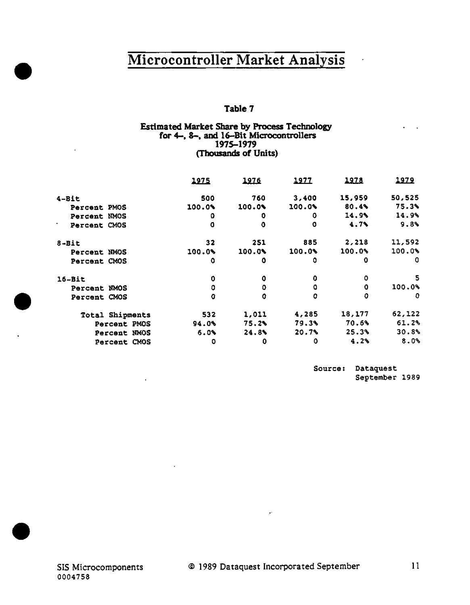## Table 7

### Estimated Market Share by Process Teclmology for 4-, 8-, and 16-Bit Microcontrollers 1975-1979 (Thousands of Units)

|                   | <u> 1975 </u> | 1976   | 1977     | 1978    | <u> 1979 </u> |
|-------------------|---------------|--------|----------|---------|---------------|
|                   |               |        |          |         |               |
| 4-Bit             | 500           | 760    | 3,400    | 15,959  | 50,525        |
| Percent PMOS      | 100.0%        | 100.0% | 100.0%   | 80.4%   | 75.3%         |
| Percent NMOS      | 0             | 0      | o        | 14.9%   | 14.9%         |
| ٠<br>Percent CMOS | 0             | ٥      | ٥        | $4.7\%$ | 9.8%          |
| $8 - Bit$         | 32            | 251    | 885      | 2.218   | 11,592        |
| Percent NMOS      | 100.0%        | 100.0% | 100.0%   | 100.0%  | 100.0%        |
| Percent CMOS      | o             | ٥      | ٥        | o       | 0             |
| $16 - Bit$        | 0             | 0      | 0        | ٥       | 5             |
| Percent NMOS      | ٥             | 0      | o        | 0       | 100.0%        |
| Percent CMOS      | O             | o      | O        | o       | o             |
| Total Shipments   | 532           | 1,011  | 4,285    | 18,177  | 62,122        |
| Percent PMOS      | 94.0%         | 75.2%  | $79.3\%$ | 70.6%   | 61.2%         |
| Percent NMOS      | 6.0%          | 24.8%  | 20.7%    | 25.3%   | 30.8%         |
| Percent CMOS      | 0             | 0      | ٥        | 4.2%    | 8.0%          |

Source: Dataquest September 1989

 $\bar{a}$ 

 $\cdot$ 

•

•

•

 $\hat{\mathcal{P}}$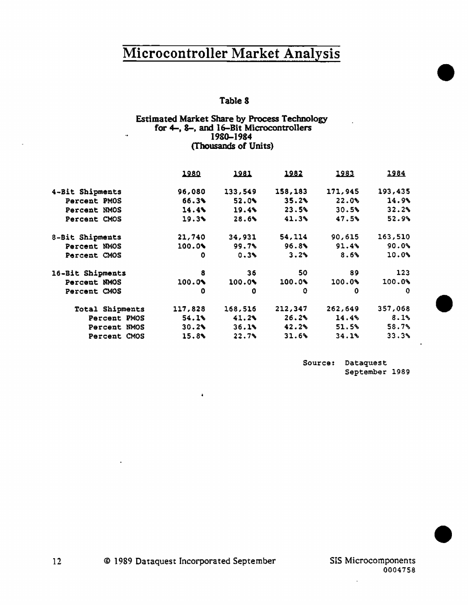## Table 8

## Estimated Market Share by Process Technology for 4-, 8-, and 16-Bit Microcontrollers 1980-1984 (Thousands of Units)

|                  | 1980    | 1981    | 1982    | 1983    | <u> 1984 </u>       |
|------------------|---------|---------|---------|---------|---------------------|
| 4-Bit Shipments  | 96,080  | 133,549 | 158,183 | 171,945 | 193,435             |
| Percent PMOS     | 66.3%   | 52.0%   | 35.2%   | 22.0%   | $14.9$ <sup>6</sup> |
| Percent NMOS     | 14.4%   | 19.4%   | 23.5%   | 30.5%   | 32.2%               |
| Percent CMOS     | 19.3%   | 28.6%   | 41.3%   | 47.5%   | 52.9%               |
| 8-Bit Shipments  | 21,740  | 34,931  | 54, 114 | 90,615  | 163,510             |
| Percent NMOS     | 100.04  | 99.7%   | 96.8%   | 91.4%   | 90.0%               |
| Percent CMOS     | 0       | 0.3%    | 3.2%    | 8.6%    | 10.0%               |
| 16-Bit Shipments | 8       | 36      | 50      | 89      | 123                 |
| Percent NMOS     | 100.0%  | 100.0   | 100.0%  | 100.0%  | 100.09              |
| Percent CMOS     | 0       | 0       | 0       | 0       | 0                   |
| Total Shipments  | 117,828 | 168,516 | 212,347 | 262,649 | 357,068             |
| Percent PMOS     | 54.1%   | 41.2%   | 26.2%   | 14.4%   | 8.1%                |
| Percent NMOS     | 30.2%   | 36.1%   | 42.2%   | 51.5%   | 58.7%               |
| Percent CMOS     | 15.8%   | 22.7%   | 31.6%   | 34.1%   | 33.3%               |

Source: Dataquest September 1989 •

•

•

ă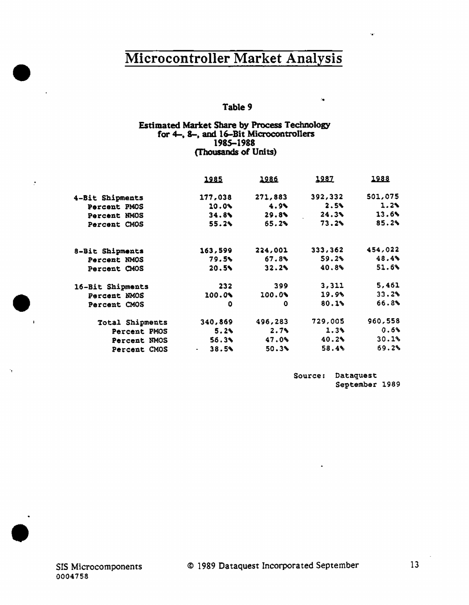## Table 9

### Estimated Market Share by Process Technology for 4-, 8-, and 16-Bit Microcontrollers 1985-1988 (Thousands of Units)

|                  | <u> 1985</u>        | 1986    | <u> 1987 </u> | <u>1988</u> |
|------------------|---------------------|---------|---------------|-------------|
| 4-Bit Shipments  | 177,038             | 271,883 | 392,332       | 501,075     |
| Percent PMOS     | $10.0\%$            | 4.9%    | 2.5%          | 1.2%        |
| Percent NMOS     | 34.8%               | 29.8%   | 24.3%         | 13.6%       |
| Percent CMOS     | 55.2%               | 65.2%   | $73.2\%$      | 85.2%       |
| 8-Bit Shipments  | 163,599             | 224,001 | 333,362       | 454,022     |
| Percent NMOS     | 79.5                | 67.8%   | 59.2%         | 48.4%       |
| Percent CMOS     | 20.5%               | 32.2%   | 40.8%         | 51.6%       |
| 16-Bit Shipments | 232                 | 399     | 3,311         | 5,461       |
| Percent NMOS     | 100.0%              | 100.0%  | 19.91         | 33.2%       |
| Percent CMOS     | ٥                   | 0       | 80.1%         | 66.8%       |
| Total Shipments  | 340,869             | 496,283 | 729,005       | 960,558     |
| Percent PMOS     | 5.2%                | 2.7%    | 1.3%          | 0.6%        |
| Percent NMOS     | 56.3%               | 47.0%   | 40.2%         | 30.1%       |
| Percent CMOS     | 38.5%<br>$\sim 100$ | 50.3%   | 58.4%         | 69.2%       |

Source: Dataquest September 1989

 $\overline{\mathbf{a}}$ 

•

 $\tilde{\mathcal{I}}$ 

 $\bullet$ 

.

•

 $\sim$